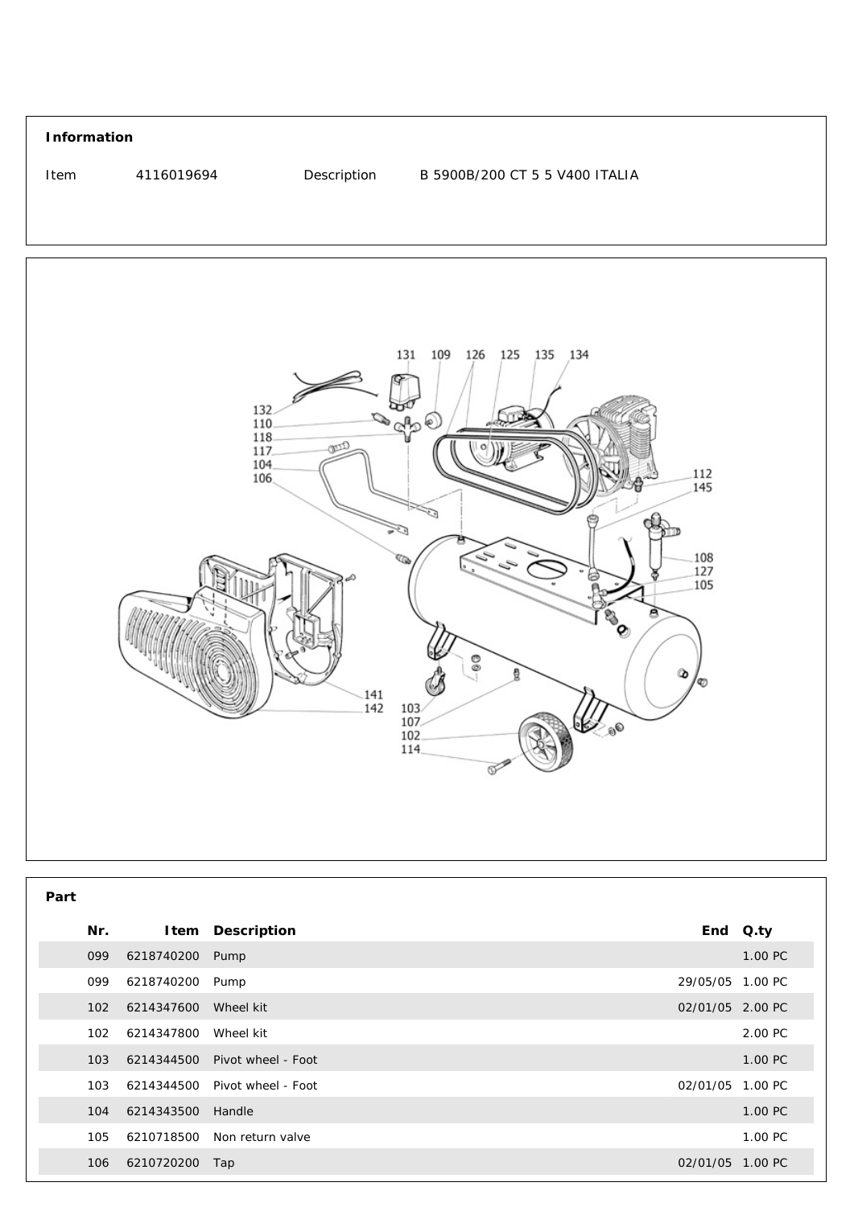



| Part |     |                 |                    |                  |         |
|------|-----|-----------------|--------------------|------------------|---------|
|      | Nr. |                 | Item Description   | End Q.ty         |         |
|      | 099 | 6218740200 Pump |                    |                  | 1.00 PC |
|      | 099 | 6218740200      | Pump               | 29/05/05 1.00 PC |         |
|      | 102 | 6214347600      | Wheel kit          | 02/01/05 2.00 PC |         |
|      | 102 | 6214347800      | Wheel kit          |                  | 2.00 PC |
|      | 103 | 6214344500      | Pivot wheel - Foot |                  | 1.00 PC |
|      | 103 | 6214344500      | Pivot wheel - Foot | 02/01/05 1.00 PC |         |
|      | 104 | 6214343500      | Handle             |                  | 1.00 PC |
|      | 105 | 6210718500      | Non return valve   |                  | 1.00 PC |
|      | 106 | 6210720200      | Tap                | 02/01/05 1.00 PC |         |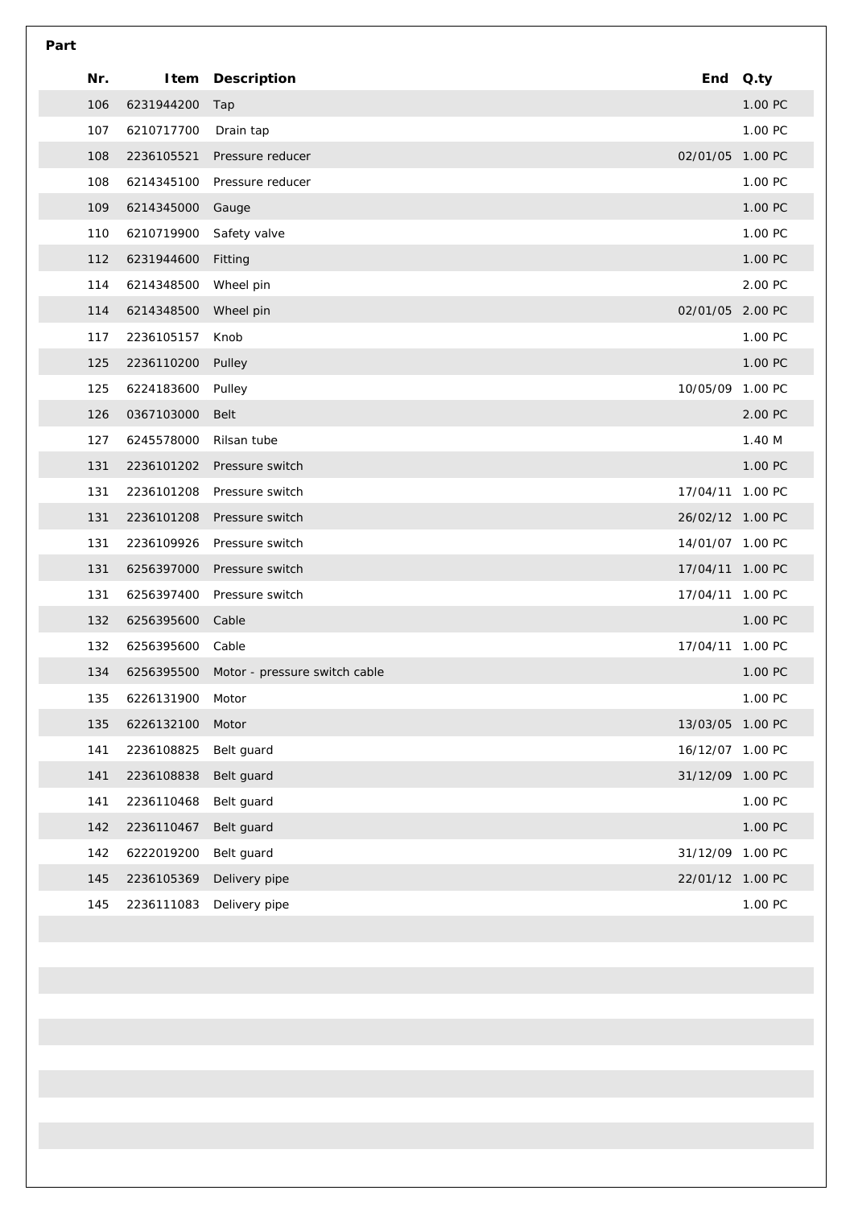| Part |     |            |                               |                  |          |
|------|-----|------------|-------------------------------|------------------|----------|
|      | Nr. |            | <b>Item Description</b>       |                  | End Q.ty |
|      | 106 | 6231944200 | Tap                           |                  | 1.00 PC  |
|      | 107 | 6210717700 | Drain tap                     |                  | 1.00 PC  |
|      | 108 | 2236105521 | Pressure reducer              | 02/01/05 1.00 PC |          |
|      | 108 | 6214345100 | Pressure reducer              |                  | 1.00 PC  |
|      | 109 | 6214345000 | Gauge                         |                  | 1.00 PC  |
|      | 110 | 6210719900 | Safety valve                  |                  | 1.00 PC  |
|      | 112 | 6231944600 | Fitting                       |                  | 1.00 PC  |
|      | 114 | 6214348500 | Wheel pin                     |                  | 2.00 PC  |
|      | 114 | 6214348500 | Wheel pin                     | 02/01/05 2.00 PC |          |
|      | 117 | 2236105157 | Knob                          |                  | 1.00 PC  |
|      | 125 | 2236110200 | Pulley                        |                  | 1.00 PC  |
|      | 125 | 6224183600 | Pulley                        | 10/05/09 1.00 PC |          |
|      | 126 | 0367103000 | Belt                          |                  | 2.00 PC  |
|      | 127 | 6245578000 | Rilsan tube                   |                  | 1.40 M   |
|      | 131 | 2236101202 | Pressure switch               |                  | 1.00 PC  |
|      | 131 | 2236101208 | Pressure switch               | 17/04/11 1.00 PC |          |
|      | 131 | 2236101208 | Pressure switch               | 26/02/12 1.00 PC |          |
|      | 131 | 2236109926 | Pressure switch               | 14/01/07 1.00 PC |          |
|      | 131 | 6256397000 | Pressure switch               | 17/04/11 1.00 PC |          |
|      | 131 | 6256397400 | Pressure switch               | 17/04/11 1.00 PC |          |
|      | 132 | 6256395600 | Cable                         |                  | 1.00 PC  |
|      | 132 | 6256395600 | Cable                         | 17/04/11         | 1.00 PC  |
|      | 134 | 6256395500 | Motor - pressure switch cable |                  | 1.00 PC  |
|      | 135 | 6226131900 | Motor                         |                  | 1.00 PC  |
|      | 135 | 6226132100 | Motor                         | 13/03/05 1.00 PC |          |
|      | 141 | 2236108825 | Belt guard                    | 16/12/07 1.00 PC |          |
|      | 141 | 2236108838 | Belt guard                    | 31/12/09 1.00 PC |          |
|      | 141 | 2236110468 | Belt guard                    |                  | 1.00 PC  |
|      | 142 | 2236110467 | Belt guard                    |                  | 1.00 PC  |
|      | 142 | 6222019200 | Belt guard                    | 31/12/09 1.00 PC |          |
|      | 145 | 2236105369 | Delivery pipe                 | 22/01/12 1.00 PC |          |
|      | 145 | 2236111083 | Delivery pipe                 |                  | 1.00 PC  |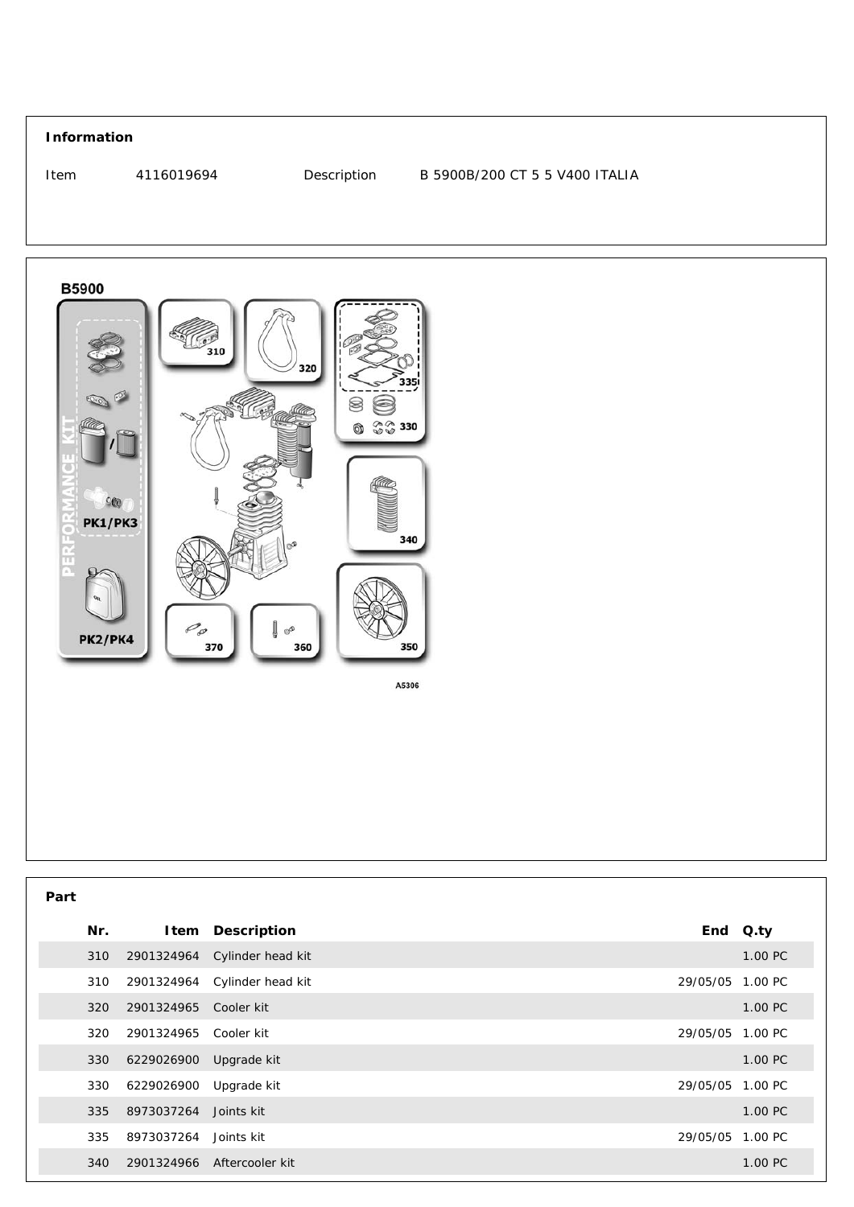## **Information** 4116019694 Description B 5900B/200 CT 5 5 V400 ITALIA Item



| . .<br>۰.<br>× |
|----------------|

| Nr. |                       | Item Description             | End Q.ty         |
|-----|-----------------------|------------------------------|------------------|
| 310 |                       | 2901324964 Cylinder head kit | 1.00 PC          |
| 310 |                       | 2901324964 Cylinder head kit | 29/05/05 1.00 PC |
| 320 | 2901324965 Cooler kit |                              | 1.00 PC          |
| 320 | 2901324965 Cooler kit |                              | 29/05/05 1.00 PC |
| 330 | 6229026900            | Upgrade kit                  | 1.00 PC          |
| 330 | 6229026900            | Upgrade kit                  | 29/05/05 1.00 PC |
| 335 | 8973037264 Joints kit |                              | 1.00 PC          |
| 335 | 8973037264 Joints kit |                              | 29/05/05 1.00 PC |
| 340 |                       | 2901324966 Aftercooler kit   | 1.00 PC          |